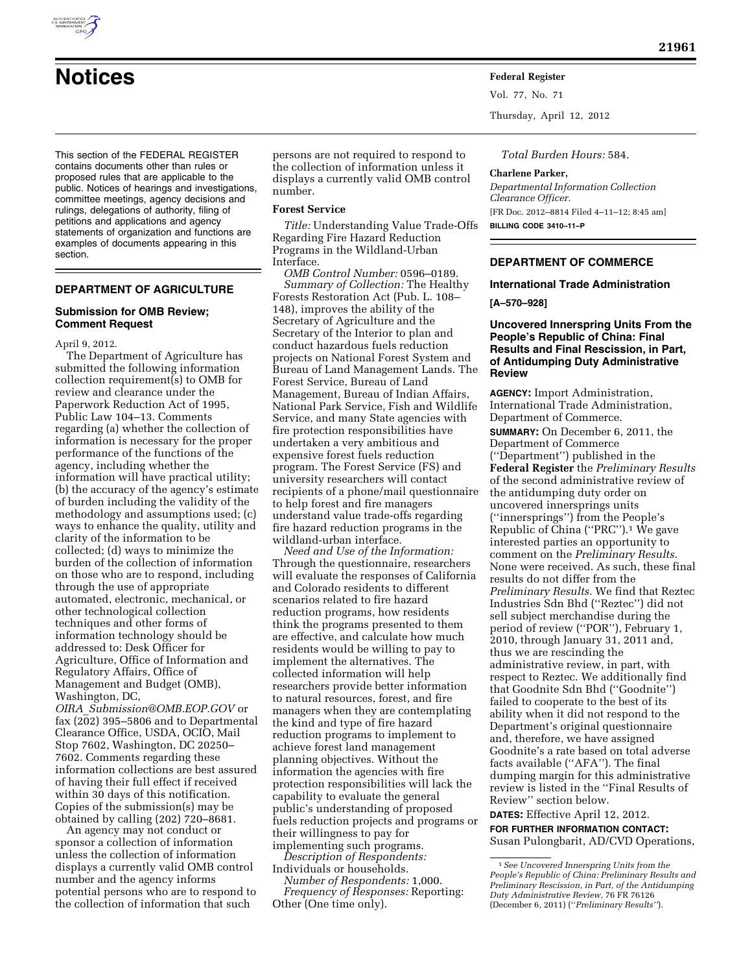

**Notices Federal Register**

Vol. 77, No. 71

Thursday, April 12, 2012

This section of the FEDERAL REGISTER contains documents other than rules or proposed rules that are applicable to the public. Notices of hearings and investigations, committee meetings, agency decisions and rulings, delegations of authority, filing of petitions and applications and agency statements of organization and functions are examples of documents appearing in this section.

# **DEPARTMENT OF AGRICULTURE**

### **Submission for OMB Review; Comment Request**

April 9, 2012.

The Department of Agriculture has submitted the following information collection requirement(s) to OMB for review and clearance under the Paperwork Reduction Act of 1995, Public Law 104–13. Comments regarding (a) whether the collection of information is necessary for the proper performance of the functions of the agency, including whether the information will have practical utility; (b) the accuracy of the agency's estimate of burden including the validity of the methodology and assumptions used; (c) ways to enhance the quality, utility and clarity of the information to be collected; (d) ways to minimize the burden of the collection of information on those who are to respond, including through the use of appropriate automated, electronic, mechanical, or other technological collection techniques and other forms of information technology should be addressed to: Desk Officer for Agriculture, Office of Information and Regulatory Affairs, Office of Management and Budget (OMB), Washington, DC,

*OIRA*\_*[Submission@OMB.EOP.GOV](mailto:OIRA_Submission@OMB.EOP.GOV)* or fax (202) 395–5806 and to Departmental Clearance Office, USDA, OCIO, Mail Stop 7602, Washington, DC 20250– 7602. Comments regarding these information collections are best assured of having their full effect if received within 30 days of this notification. Copies of the submission(s) may be obtained by calling (202) 720–8681.

An agency may not conduct or sponsor a collection of information unless the collection of information displays a currently valid OMB control number and the agency informs potential persons who are to respond to the collection of information that such

persons are not required to respond to the collection of information unless it displays a currently valid OMB control number.

### **Forest Service**

*Title:* Understanding Value Trade-Offs Regarding Fire Hazard Reduction Programs in the Wildland-Urban Interface.

*OMB Control Number:* 0596–0189. *Summary of Collection:* The Healthy Forests Restoration Act (Pub. L. 108– 148), improves the ability of the Secretary of Agriculture and the Secretary of the Interior to plan and conduct hazardous fuels reduction projects on National Forest System and Bureau of Land Management Lands. The Forest Service, Bureau of Land Management, Bureau of Indian Affairs, National Park Service, Fish and Wildlife Service, and many State agencies with fire protection responsibilities have undertaken a very ambitious and expensive forest fuels reduction program. The Forest Service (FS) and university researchers will contact recipients of a phone/mail questionnaire to help forest and fire managers understand value trade-offs regarding fire hazard reduction programs in the wildland-urban interface.

*Need and Use of the Information:*  Through the questionnaire, researchers will evaluate the responses of California and Colorado residents to different scenarios related to fire hazard reduction programs, how residents think the programs presented to them are effective, and calculate how much residents would be willing to pay to implement the alternatives. The collected information will help researchers provide better information to natural resources, forest, and fire managers when they are contemplating the kind and type of fire hazard reduction programs to implement to achieve forest land management planning objectives. Without the information the agencies with fire protection responsibilities will lack the capability to evaluate the general public's understanding of proposed fuels reduction projects and programs or their willingness to pay for implementing such programs.

*Description of Respondents:*  Individuals or households.

*Number of Respondents:* 1,000. *Frequency of Responses:* Reporting: Other (One time only).

*Total Burden Hours:* 584.

#### **Charlene Parker,**

*Departmental Information Collection Clearance Officer.*  [FR Doc. 2012–8814 Filed 4–11–12; 8:45 am] **BILLING CODE 3410–11–P** 

### **DEPARTMENT OF COMMERCE**

# **International Trade Administration [A–570–928]**

**Uncovered Innerspring Units From the People's Republic of China: Final Results and Final Rescission, in Part, of Antidumping Duty Administrative Review** 

**AGENCY:** Import Administration, International Trade Administration, Department of Commerce.

**SUMMARY:** On December 6, 2011, the Department of Commerce (''Department'') published in the **Federal Register** the *Preliminary Results*  of the second administrative review of the antidumping duty order on uncovered innersprings units (''innersprings'') from the People's Republic of China (''PRC'').1 We gave interested parties an opportunity to comment on the *Preliminary Results.*  None were received. As such, these final results do not differ from the *Preliminary Results.* We find that Reztec Industries Sdn Bhd (''Reztec'') did not sell subject merchandise during the period of review (''POR''), February 1, 2010, through January 31, 2011 and, thus we are rescinding the administrative review, in part, with respect to Reztec. We additionally find that Goodnite Sdn Bhd (''Goodnite'') failed to cooperate to the best of its ability when it did not respond to the Department's original questionnaire and, therefore, we have assigned Goodnite's a rate based on total adverse facts available (''AFA''). The final dumping margin for this administrative review is listed in the ''Final Results of Review'' section below.

**DATES:** Effective April 12, 2012. **FOR FURTHER INFORMATION CONTACT:**  Susan Pulongbarit, AD/CVD Operations,

<sup>1</sup>*See Uncovered Innerspring Units from the People's Republic of China: Preliminary Results and Preliminary Rescission, in Part, of the Antidumping Duty Administrative Review,* 76 FR 76126 (December 6, 2011) (''*Preliminary Results''*).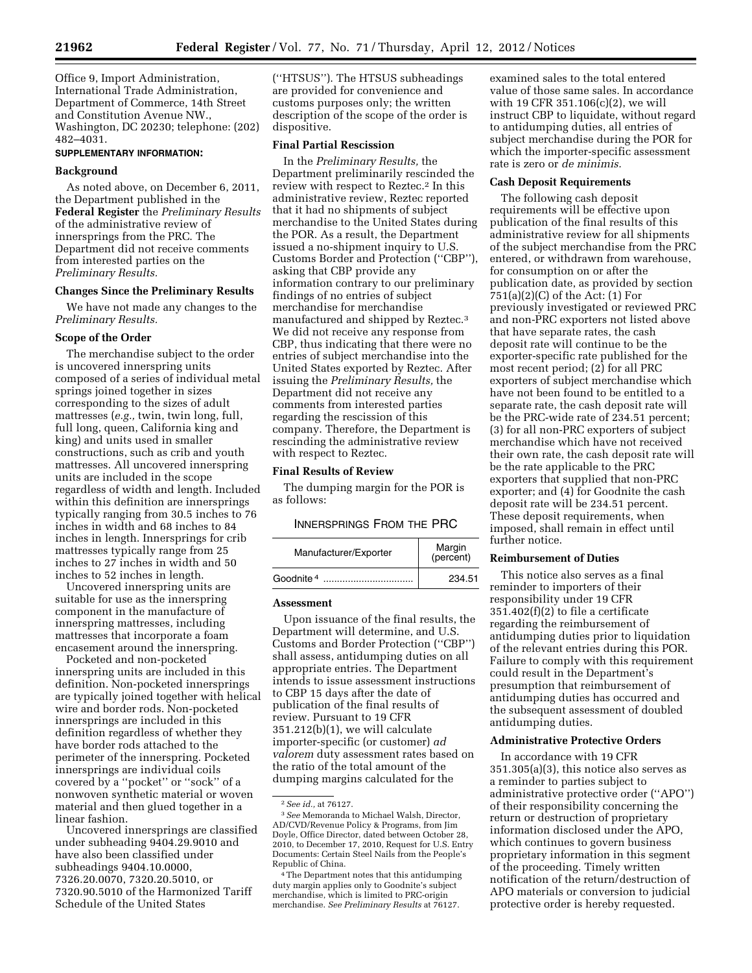Office 9, Import Administration, International Trade Administration, Department of Commerce, 14th Street and Constitution Avenue NW., Washington, DC 20230; telephone: (202) 482–4031.

#### **SUPPLEMENTARY INFORMATION:**

#### **Background**

As noted above, on December 6, 2011, the Department published in the **Federal Register** the *Preliminary Results*  of the administrative review of innersprings from the PRC. The Department did not receive comments from interested parties on the *Preliminary Results.* 

### **Changes Since the Preliminary Results**

We have not made any changes to the *Preliminary Results.* 

### **Scope of the Order**

The merchandise subject to the order is uncovered innerspring units composed of a series of individual metal springs joined together in sizes corresponding to the sizes of adult mattresses (*e.g.,* twin, twin long, full, full long, queen, California king and king) and units used in smaller constructions, such as crib and youth mattresses. All uncovered innerspring units are included in the scope regardless of width and length. Included within this definition are innersprings typically ranging from 30.5 inches to 76 inches in width and 68 inches to 84 inches in length. Innersprings for crib mattresses typically range from 25 inches to 27 inches in width and 50 inches to 52 inches in length.

Uncovered innerspring units are suitable for use as the innerspring component in the manufacture of innerspring mattresses, including mattresses that incorporate a foam encasement around the innerspring.

Pocketed and non-pocketed innerspring units are included in this definition. Non-pocketed innersprings are typically joined together with helical wire and border rods. Non-pocketed innersprings are included in this definition regardless of whether they have border rods attached to the perimeter of the innerspring. Pocketed innersprings are individual coils covered by a ''pocket'' or ''sock'' of a nonwoven synthetic material or woven material and then glued together in a linear fashion.

Uncovered innersprings are classified under subheading 9404.29.9010 and have also been classified under subheadings 9404.10.0000, 7326.20.0070, 7320.20.5010, or 7320.90.5010 of the Harmonized Tariff Schedule of the United States

(''HTSUS''). The HTSUS subheadings are provided for convenience and customs purposes only; the written description of the scope of the order is dispositive.

### **Final Partial Rescission**

In the *Preliminary Results,* the Department preliminarily rescinded the review with respect to Reztec.2 In this administrative review, Reztec reported that it had no shipments of subject merchandise to the United States during the POR. As a result, the Department issued a no-shipment inquiry to U.S. Customs Border and Protection (''CBP''), asking that CBP provide any information contrary to our preliminary findings of no entries of subject merchandise for merchandise manufactured and shipped by Reztec.3 We did not receive any response from CBP, thus indicating that there were no entries of subject merchandise into the United States exported by Reztec. After issuing the *Preliminary Results,* the Department did not receive any comments from interested parties regarding the rescission of this company. Therefore, the Department is rescinding the administrative review with respect to Reztec.

#### **Final Results of Review**

The dumping margin for the POR is as follows:

INNERSPRINGS FROM THE PRC

|                       | Margin<br>(percent) |
|-----------------------|---------------------|
| Goodnite <sup>4</sup> | 234.51              |

#### **Assessment**

Upon issuance of the final results, the Department will determine, and U.S. Customs and Border Protection (''CBP'') shall assess, antidumping duties on all appropriate entries. The Department intends to issue assessment instructions to CBP 15 days after the date of publication of the final results of review. Pursuant to 19 CFR 351.212(b)(1), we will calculate importer-specific (or customer) *ad valorem* duty assessment rates based on the ratio of the total amount of the dumping margins calculated for the

examined sales to the total entered value of those same sales. In accordance with 19 CFR 351.106(c)(2), we will instruct CBP to liquidate, without regard to antidumping duties, all entries of subject merchandise during the POR for which the importer-specific assessment rate is zero or *de minimis.* 

### **Cash Deposit Requirements**

The following cash deposit requirements will be effective upon publication of the final results of this administrative review for all shipments of the subject merchandise from the PRC entered, or withdrawn from warehouse, for consumption on or after the publication date, as provided by section 751(a)(2)(C) of the Act: (1) For previously investigated or reviewed PRC and non-PRC exporters not listed above that have separate rates, the cash deposit rate will continue to be the exporter-specific rate published for the most recent period; (2) for all PRC exporters of subject merchandise which have not been found to be entitled to a separate rate, the cash deposit rate will be the PRC-wide rate of 234.51 percent; (3) for all non-PRC exporters of subject merchandise which have not received their own rate, the cash deposit rate will be the rate applicable to the PRC exporters that supplied that non-PRC exporter; and (4) for Goodnite the cash deposit rate will be 234.51 percent. These deposit requirements, when imposed, shall remain in effect until further notice.

#### **Reimbursement of Duties**

This notice also serves as a final reminder to importers of their responsibility under 19 CFR 351.402(f)(2) to file a certificate regarding the reimbursement of antidumping duties prior to liquidation of the relevant entries during this POR. Failure to comply with this requirement could result in the Department's presumption that reimbursement of antidumping duties has occurred and the subsequent assessment of doubled antidumping duties.

### **Administrative Protective Orders**

In accordance with 19 CFR 351.305(a)(3), this notice also serves as a reminder to parties subject to administrative protective order (''APO'') of their responsibility concerning the return or destruction of proprietary information disclosed under the APO, which continues to govern business proprietary information in this segment of the proceeding. Timely written notification of the return/destruction of APO materials or conversion to judicial protective order is hereby requested.

<sup>2</sup>*See id.,* at 76127.

<sup>3</sup>*See* Memoranda to Michael Walsh, Director, AD/CVD/Revenue Policy & Programs, from Jim Doyle, Office Director, dated between October 28, 2010, to December 17, 2010, Request for U.S. Entry Documents: Certain Steel Nails from the People's Republic of China.

<sup>4</sup>The Department notes that this antidumping duty margin applies only to Goodnite's subject merchandise, which is limited to PRC-origin merchandise. *See Preliminary Results* at 76127.